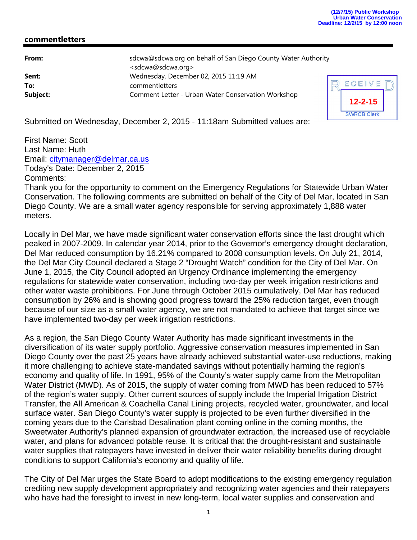## **commentletters**

| From:    | sdcwa@sdcwa.org on behalf of San Diego County Water Authority<br><sdcwa@sdcwa.org></sdcwa@sdcwa.org> |    |
|----------|------------------------------------------------------------------------------------------------------|----|
| Sent:    | Wednesday, December 02, 2015 11:19 AM                                                                |    |
| To:      | commentletters                                                                                       | IF |
| Subject: | Comment Letter - Urban Water Conservation Workshop                                                   |    |



Submitted on Wednesday, December 2, 2015 - 11:18am Submitted values are:

First Name: Scott Last Name: Huth Email: citymanager@delmar.ca.us Today's Date: December 2, 2015 Comments:

Thank you for the opportunity to comment on the Emergency Regulations for Statewide Urban Water Conservation. The following comments are submitted on behalf of the City of Del Mar, located in San Diego County. We are a small water agency responsible for serving approximately 1,888 water meters.

Locally in Del Mar, we have made significant water conservation efforts since the last drought which peaked in 2007-2009. In calendar year 2014, prior to the Governor's emergency drought declaration, Del Mar reduced consumption by 16.21% compared to 2008 consumption levels. On July 21, 2014, the Del Mar City Council declared a Stage 2 "Drought Watch" condition for the City of Del Mar. On June 1, 2015, the City Council adopted an Urgency Ordinance implementing the emergency regulations for statewide water conservation, including two-day per week irrigation restrictions and other water waste prohibitions. For June through October 2015 cumulatively, Del Mar has reduced consumption by 26% and is showing good progress toward the 25% reduction target, even though because of our size as a small water agency, we are not mandated to achieve that target since we have implemented two-day per week irrigation restrictions.

As a region, the San Diego County Water Authority has made significant investments in the diversification of its water supply portfolio. Aggressive conservation measures implemented in San Diego County over the past 25 years have already achieved substantial water-use reductions, making it more challenging to achieve state-mandated savings without potentially harming the region's economy and quality of life. In 1991, 95% of the County's water supply came from the Metropolitan Water District (MWD). As of 2015, the supply of water coming from MWD has been reduced to 57% of the region's water supply. Other current sources of supply include the Imperial Irrigation District Transfer, the All American & Coachella Canal Lining projects, recycled water, groundwater, and local surface water. San Diego County's water supply is projected to be even further diversified in the coming years due to the Carlsbad Desalination plant coming online in the coming months, the Sweetwater Authority's planned expansion of groundwater extraction, the increased use of recyclable water, and plans for advanced potable reuse. It is critical that the drought-resistant and sustainable water supplies that ratepayers have invested in deliver their water reliability benefits during drought conditions to support California's economy and quality of life.

The City of Del Mar urges the State Board to adopt modifications to the existing emergency regulation crediting new supply development appropriately and recognizing water agencies and their ratepayers who have had the foresight to invest in new long-term, local water supplies and conservation and